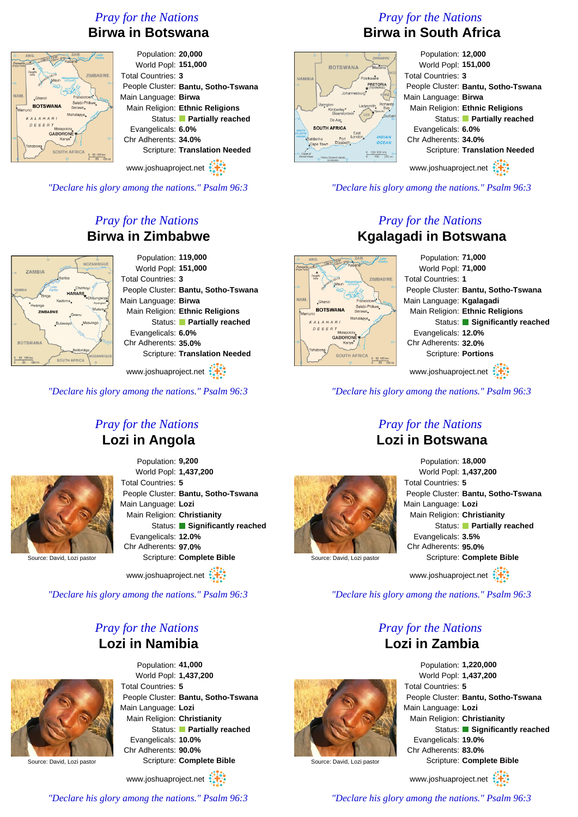# *Pray for the Nations* **Birwa in Botswana**



*"Declare his glory among the nations." Psalm 96:3*

# *Pray for the Nations* **Birwa in Zimbabwe**



www.joshuaproject.net

*"Declare his glory among the nations." Psalm 96:3*

# *Pray for the Nations* **Lozi in Angola**



Source: David, Lozi pastor

Population: **9,200** World Popl: **1,437,200** Total Countries: **5** People Cluster: **Bantu, Sotho-Tswana** Main Language: **Lozi** Main Religion: **Christianity** Status: **Significantly reached** Evangelicals: **12.0%** Chr Adherents: **97.0%** Scripture: **Complete Bible**

www.joshuaproject.net

*"Declare his glory among the nations." Psalm 96:3*

#### *Pray for the Nations* **Lozi in Namibia**



Population: **41,000** World Popl: **1,437,200** Total Countries: **5** People Cluster: **Bantu, Sotho-Tswana** Main Language: **Lozi** Main Religion: **Christianity** Status: **Partially reached** Evangelicals: **10.0%** Chr Adherents: **90.0%** Scripture: **Complete Bible**

www.joshuaproject.net



# *Pray for the Nations* **Birwa in South Africa** Population: **12,000**



*"Declare his glory among the nations." Psalm 96:3*

### *Pray for the Nations* **Kgalagadi in Botswana**

Population: **71,000** World Popl: **71,000 ZIMBARWE** Total Countries: **1** People Cluster: **Bantu, Sotho-Tswana** Main Language: **Kgalagadi ROTSWANA** Main Religion: **Ethnic Religions** Status: **Significantly reached** Evangelicals: **12.0%** GABORON Chr Adherents: **32.0%** Scripture: **Portions** SOUTH AFRICA www.joshuaproject.net

*"Declare his glory among the nations." Psalm 96:3*

#### *Pray for the Nations* **Lozi in Botswana**



#### Population: **18,000** World Popl: **1,437,200** Total Countries: **5** People Cluster: **Bantu, Sotho-Tswana** Main Language: **Lozi** Main Religion: **Christianity** Status: **Partially reached** Evangelicals: **3.5%** Chr Adherents: **95.0%** Scripture: **Complete Bible** www.joshuaproject.net

Source: David, Lozi pastor

*"Declare his glory among the nations." Psalm 96:3*

#### *Pray for the Nations* **Lozi in Zambia**



www.joshuaproject.net

*"Declare his glory among the nations." Psalm 96:3*

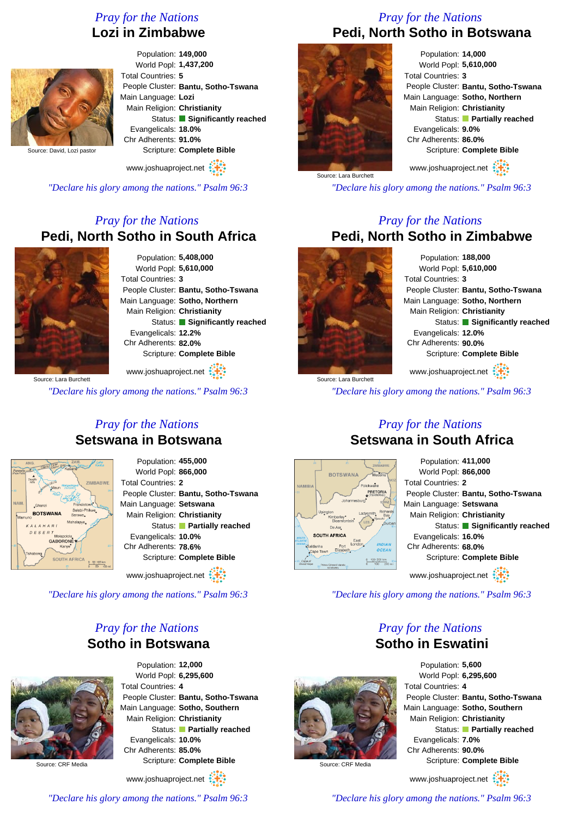# *Pray for the Nations* **Lozi in Zimbabwe**



Population: **149,000** World Popl: **1,437,200** Total Countries: **5** People Cluster: **Bantu, Sotho-Tswana** Main Language: **Lozi** Main Religion: **Christianity** Status: **Significantly reached** Evangelicals: **18.0%** Chr Adherents: **91.0%** Scripture: **Complete Bible**

www.joshuaproject.net

*"Declare his glory among the nations." Psalm 96:3*

### *Pray for the Nations* **Pedi, North Sotho in South Africa**



Population: **5,408,000** World Popl: **5,610,000** Total Countries: **3** People Cluster: **Bantu, Sotho-Tswana** Main Language: **Sotho, Northern** Main Religion: **Christianity** Status: **Significantly reached** Evangelicals: **12.2%** Chr Adherents: **82.0%** Scripture: **Complete Bible** www.joshuaproject.net

Source: Lara Burchett

*"Declare his glory among the nations." Psalm 96:3*

#### *Pray for the Nations* **Setswana in Botswana**



Population: **455,000** World Popl: **866,000** Total Countries: **2** People Cluster: **Bantu, Sotho-Tswana** Main Language: **Setswana** Main Religion: **Christianity** Status: **Partially reached** Evangelicals: **10.0%** Chr Adherents: **78.6%** Scripture: **Complete Bible**

www.joshuaproject.net :

*"Declare his glory among the nations." Psalm 96:3*

#### *Pray for the Nations* **Sotho in Botswana**



Source: CRF Media

Population: **12,000** World Popl: **6,295,600** Total Countries: **4** People Cluster: **Bantu, Sotho-Tswana** Main Language: **Sotho, Southern** Main Religion: **Christianity** Status: **Partially reached** Evangelicals: **10.0%** Chr Adherents: **85.0%** Scripture: **Complete Bible**

www.joshuaproject.net

*"Declare his glory among the nations." Psalm 96:3*

#### *Pray for the Nations* **Pedi, North Sotho in Botswana**



Population: **14,000** World Popl: **5,610,000** Total Countries: **3** People Cluster: **Bantu, Sotho-Tswana** Main Language: **Sotho, Northern** Main Religion: **Christianity** Status: **Partially reached** Evangelicals: **9.0%** Chr Adherents: **86.0%** Scripture: **Complete Bible**

www.joshuaproject.net

*"Declare his glory among the nations." Psalm 96:3*

#### *Pray for the Nations* **Pedi, North Sotho in Zimbabwe**



Source: Lara Burchett

Source: CRF Media

Population: **188,000** World Popl: **5,610,000** Total Countries: **3** People Cluster: **Bantu, Sotho-Tswana** Main Language: **Sotho, Northern** Main Religion: **Christianity** Status: **Significantly reached** Evangelicals: **12.0%** Chr Adherents: **90.0%** Scripture: **Complete Bible** www.joshuaproject.net

*"Declare his glory among the nations." Psalm 96:3*

#### *Pray for the Nations* **Setswana in South Africa**



www.joshuaproject.net

*"Declare his glory among the nations." Psalm 96:3*

#### *Pray for the Nations* **Sotho in Eswatini**



www.joshuaproject.net

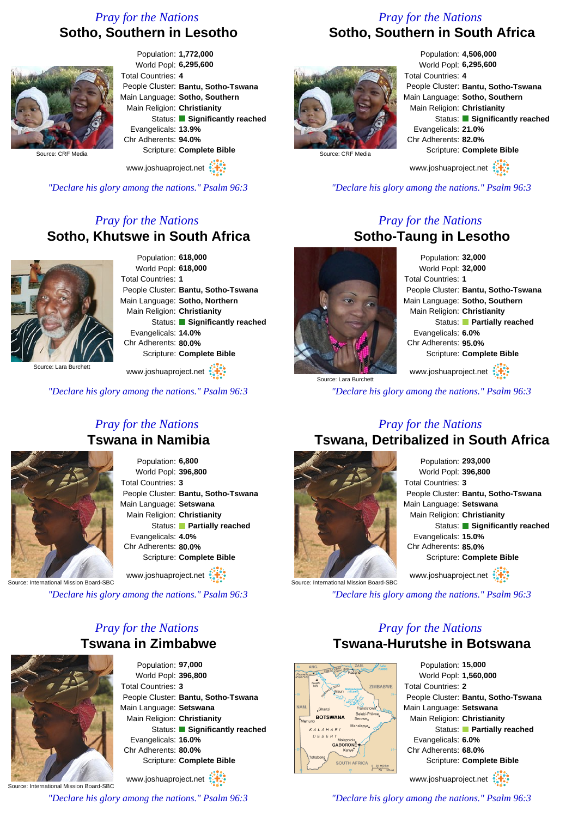### *Pray for the Nations* **Sotho, Southern in Lesotho**

### *Pray for the Nations* **Sotho, Southern in South Africa**



Population: **1,772,000** World Popl: **6,295,600** Total Countries: **4** People Cluster: **Bantu, Sotho-Tswana** Main Language: **Sotho, Southern** Main Religion: **Christianity** Status: **Significantly reached** Evangelicals: **13.9%** Chr Adherents: **94.0%** Scripture: **Complete Bible**

www.joshuaproject.net

*"Declare his glory among the nations." Psalm 96:3*

#### *Pray for the Nations* **Sotho, Khutswe in South Africa**



Population: **618,000** World Popl: **618,000** Total Countries: **1** People Cluster: **Bantu, Sotho-Tswana** Main Language: **Sotho, Northern** Main Religion: **Christianity** Status: **Significantly reached** Evangelicals: **14.0%** Chr Adherents: **80.0%** Scripture: **Complete Bible**

www.joshuaproject.net

*"Declare his glory among the nations." Psalm 96:3*

# *Pray for the Nations* **Tswana in Namibia**



Population: **6,800** World Popl: **396,800** Total Countries: **3** People Cluster: **Bantu, Sotho-Tswana** Main Language: **Setswana** Main Religion: **Christianity** Status: **Partially reached** Evangelicals: **4.0%** Chr Adherents: **80.0%** Scripture: **Complete Bible** www.joshuaproject.net

Source: International Mission Board-SBC

*"Declare his glory among the nations." Psalm 96:3*

### *Pray for the Nations* **Tswana in Zimbabwe**



Population: **97,000** World Popl: **396,800** Total Countries: **3** People Cluster: **Bantu, Sotho-Tswana** Main Language: **Setswana** Main Religion: **Christianity** Status: **Significantly reached** Evangelicals: **16.0%** Chr Adherents: **80.0%** Scripture: **Complete Bible** www.joshuaproject.net

Source: International Mission Board-SBC

*"Declare his glory among the nations." Psalm 96:3*



Population: **4,506,000** World Popl: **6,295,600** Total Countries: **4** People Cluster: **Bantu, Sotho-Tswana** Main Language: **Sotho, Southern** Main Religion: **Christianity** Status: **Significantly reached** Evangelicals: **21.0%** Chr Adherents: **82.0%** Scripture: **Complete Bible**

www.joshuaproject.net

*"Declare his glory among the nations." Psalm 96:3*

#### *Pray for the Nations* **Sotho-Taung in Lesotho**



Population: **32,000** World Popl: **32,000** Total Countries: **1** People Cluster: **Bantu, Sotho-Tswana** Main Language: **Sotho, Southern** Main Religion: **Christianity** Status: **Partially reached** Evangelicals: **6.0%** Chr Adherents: **95.0%** Scripture: **Complete Bible** www.joshuaproject.net

Source: Lara Burchet

*"Declare his glory among the nations." Psalm 96:3*

#### *Pray for the Nations* **Tswana, Detribalized in South Africa**



Population: **293,000** World Popl: **396,800** Total Countries: **3** People Cluster: **Bantu, Sotho-Tswana** Main Language: **Setswana** Main Religion: **Christianity** Status: **Significantly reached** Evangelicals: **15.0%** Chr Adherents: **85.0%** Scripture: **Complete Bible** www.joshuaproject.net

*"Declare his glory among the nations." Psalm 96:3*

#### *Pray for the Nations* **Tswana-Hurutshe in Botswana**



Population: **15,000** World Popl: **1,560,000** Total Countries: **2** People Cluster: **Bantu, Sotho-Tswana** Main Language: **Setswana** Main Religion: **Christianity** Status: **Partially reached** Evangelicals: **6.0%** Chr Adherents: **68.0%** Scripture: **Complete Bible** www.joshuaproject.net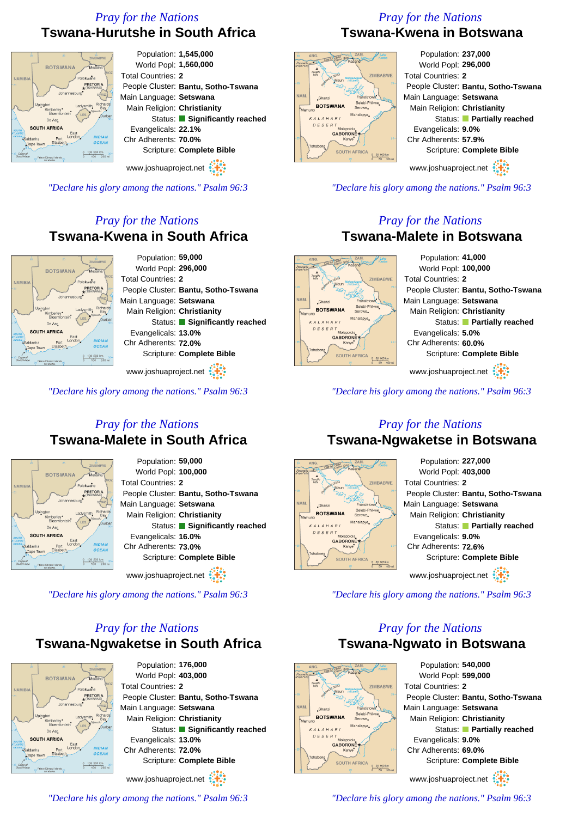# *Pray for the Nations* **Tswana-Hurutshe in South Africa**



*"Declare his glory among the nations." Psalm 96:3*

# *Pray for the Nations* **Tswana-Kwena in South Africa**



www.joshuaproject.net

*"Declare his glory among the nations." Psalm 96:3*

# *Pray for the Nations* **Tswana-Malete in South Africa**



Population: **59,000** World Popl: **100,000** Total Countries: **2** People Cluster: **Bantu, Sotho-Tswana** Main Language: **Setswana** Main Religion: **Christianity** Status: **Significantly reached** Evangelicals: **16.0%** Chr Adherents: **73.0%** Scripture: **Complete Bible**

www.joshuaproject.net

*"Declare his glory among the nations." Psalm 96:3*

# *Pray for the Nations* **Tswana-Ngwaketse in South Africa**



Population: **176,000** World Popl: **403,000** Total Countries: **2** People Cluster: **Bantu, Sotho-Tswana** Main Language: **Setswana** Main Religion: **Christianity** Status: **Significantly reached** Evangelicals: **13.0%** Chr Adherents: **72.0%** Scripture: **Complete Bible** www.joshuaproject.net

*"Declare his glory among the nations." Psalm 96:3*

# *Pray for the Nations* **Tswana-Kwena in Botswana**



Population: **237,000** World Popl: **296,000** Total Countries: **2** People Cluster: **Bantu, Sotho-Tswana** Main Language: **Setswana** Main Religion: **Christianity** Status: **Partially reached** Evangelicals: **9.0%** Chr Adherents: **57.9%** Scripture: **Complete Bible** www.joshuaproject.net

*"Declare his glory among the nations." Psalm 96:3*

### *Pray for the Nations* **Tswana-Malete in Botswana**



*"Declare his glory among the nations." Psalm 96:3*

#### *Pray for the Nations* **Tswana-Ngwaketse in Botswana**



*"Declare his glory among the nations." Psalm 96:3*

### *Pray for the Nations* **Tswana-Ngwato in Botswana**



Population: **540,000** World Popl: **599,000** Total Countries: **2** People Cluster: **Bantu, Sotho-Tswana** Main Language: **Setswana** Main Religion: **Christianity** Status: **Partially reached** Evangelicals: **9.0%** Chr Adherents: **69.0%** Scripture: **Complete Bible** www.joshuaproject.net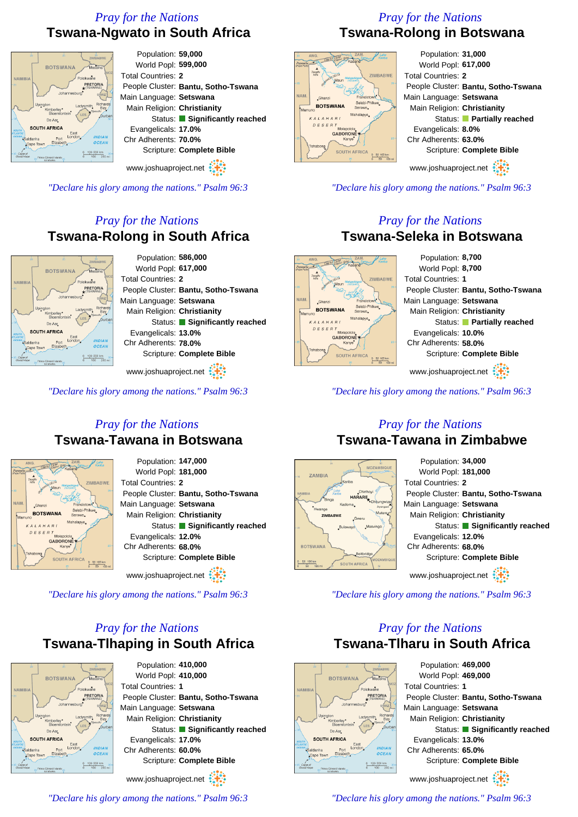# *Pray for the Nations* **Tswana-Ngwato in South Africa**



# *Pray for the Nations* **Tswana-Rolong in South Africa**



www.joshuaproject.net

*"Declare his glory among the nations." Psalm 96:3*

### *Pray for the Nations* **Tswana-Tawana in Botswana**



Population: **147,000** World Popl: **181,000** Total Countries: **2** People Cluster: **Bantu, Sotho-Tswana** Main Language: **Setswana** Main Religion: **Christianity** Status: **Significantly reached** Evangelicals: **12.0%** Chr Adherents: **68.0%** Scripture: **Complete Bible**

www.joshuaproject.net

*"Declare his glory among the nations." Psalm 96:3*

# *Pray for the Nations* **Tswana-Tlhaping in South Africa**



Population: **410,000** World Popl: **410,000** Total Countries: **1** People Cluster: **Bantu, Sotho-Tswana** Main Language: **Setswana** Main Religion: **Christianity** Status: **Significantly reached** Evangelicals: **17.0%** Chr Adherents: **60.0%** Scripture: **Complete Bible** www.joshuaproject.net

**SOUTH AFRIC** 

*"Declare his glory among the nations." Psalm 96:3*

# *Pray for the Nations* **Tswana-Rolong in Botswana**



www.joshuaproject.net

*"Declare his glory among the nations." Psalm 96:3*

#### *Pray for the Nations* **Tswana-Seleka in Botswana**



*"Declare his glory among the nations." Psalm 96:3*

#### *Pray for the Nations* **Tswana-Tawana in Zimbabwe**



*"Declare his glory among the nations." Psalm 96:3*

# *Pray for the Nations* **Tswana-Tlharu in South Africa**



World Popl: **469,000** Total Countries: **1** People Cluster: **Bantu, Sotho-Tswana** Main Language: **Setswana** Main Religion: **Christianity** Status: **Significantly reached** Evangelicals: **13.0%** Chr Adherents: **65.0%** Scripture: **Complete Bible** www.joshuaproject.net

*"Declare his glory among the nations." Psalm 96:3*